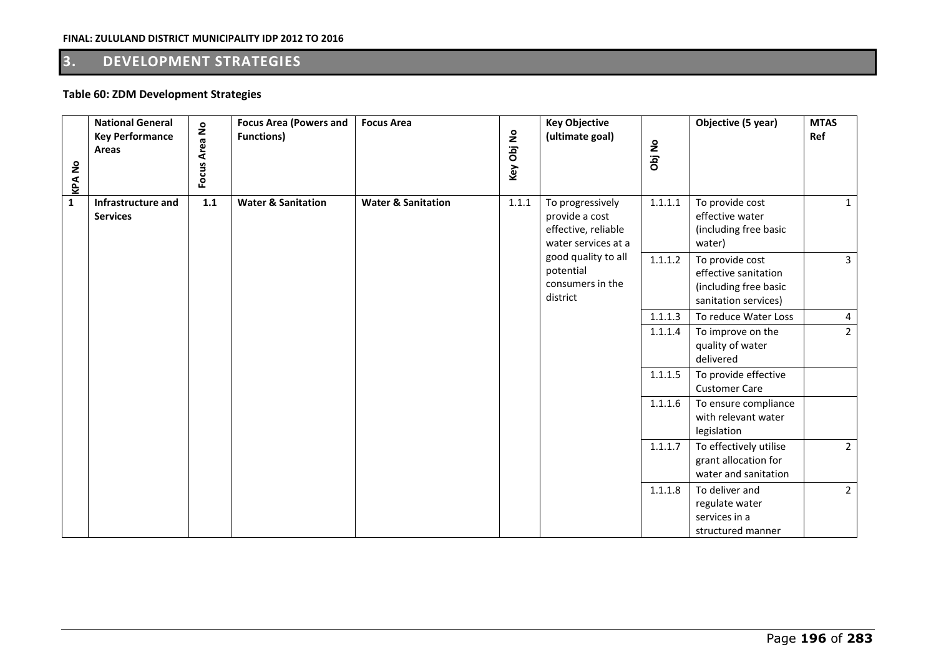# **3. DEVELOPMENT STRATEGIES**

## **Table 60: ZDM Development Strategies**

| <b>KPA No</b> | <b>National General</b><br><b>Key Performance</b><br>Areas | Area No<br>s,<br>Focus | <b>Focus Area (Powers and</b><br><b>Functions)</b> | <b>Focus Area</b>             | Key Obj No | <b>Key Objective</b><br>(ultimate goal)                                          | Obj No  | Objective (5 year)                                                                       | <b>MTAS</b><br>Ref |
|---------------|------------------------------------------------------------|------------------------|----------------------------------------------------|-------------------------------|------------|----------------------------------------------------------------------------------|---------|------------------------------------------------------------------------------------------|--------------------|
| $\mathbf{1}$  | Infrastructure and<br><b>Services</b>                      | $1.1\,$                | <b>Water &amp; Sanitation</b>                      | <b>Water &amp; Sanitation</b> | 1.1.1      | To progressively<br>provide a cost<br>effective, reliable<br>water services at a | 1.1.1.1 | To provide cost<br>effective water<br>(including free basic<br>water)                    | $\mathbf{1}$       |
|               |                                                            |                        |                                                    |                               |            | good quality to all<br>potential<br>consumers in the<br>district                 | 1.1.1.2 | To provide cost<br>effective sanitation<br>(including free basic<br>sanitation services) | $\overline{3}$     |
|               |                                                            |                        |                                                    |                               |            |                                                                                  | 1.1.1.3 | To reduce Water Loss                                                                     | $\overline{4}$     |
|               |                                                            |                        |                                                    |                               |            |                                                                                  | 1.1.1.4 | To improve on the<br>quality of water<br>delivered                                       | $2^{\circ}$        |
|               |                                                            |                        |                                                    |                               |            |                                                                                  | 1.1.1.5 | To provide effective<br><b>Customer Care</b>                                             |                    |
|               |                                                            |                        |                                                    |                               |            |                                                                                  | 1.1.1.6 | To ensure compliance<br>with relevant water<br>legislation                               |                    |
|               |                                                            |                        |                                                    |                               |            |                                                                                  | 1.1.1.7 | To effectively utilise<br>grant allocation for<br>water and sanitation                   | $2^{\circ}$        |
|               |                                                            |                        |                                                    |                               |            |                                                                                  | 1.1.1.8 | To deliver and<br>regulate water<br>services in a<br>structured manner                   | $2^{\circ}$        |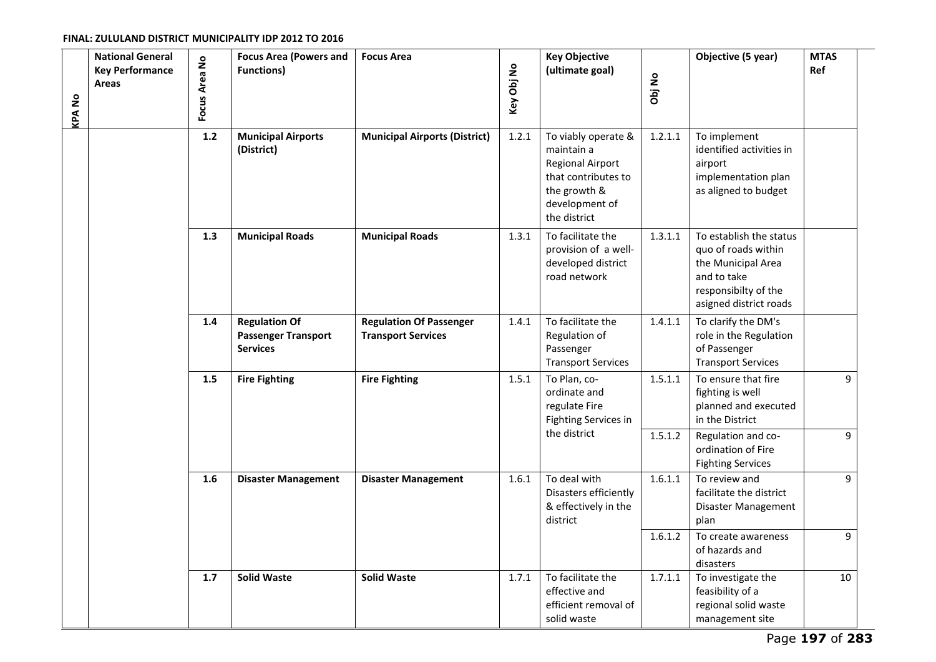| <b>KPA No</b> | <b>National General</b><br><b>Key Performance</b><br><b>Areas</b> | Focus Area No | <b>Focus Area (Powers and</b><br><b>Functions)</b>                    | <b>Focus Area</b>                                           | Key Obj No | <b>Key Objective</b><br>(ultimate goal)                                                                                               | Obj No  | Objective (5 year)                                                                                                                    | <b>MTAS</b><br>Ref |
|---------------|-------------------------------------------------------------------|---------------|-----------------------------------------------------------------------|-------------------------------------------------------------|------------|---------------------------------------------------------------------------------------------------------------------------------------|---------|---------------------------------------------------------------------------------------------------------------------------------------|--------------------|
|               |                                                                   | $1.2$         | <b>Municipal Airports</b><br>(District)                               | <b>Municipal Airports (District)</b>                        | 1.2.1      | To viably operate &<br>maintain a<br><b>Regional Airport</b><br>that contributes to<br>the growth &<br>development of<br>the district | 1.2.1.1 | To implement<br>identified activities in<br>airport<br>implementation plan<br>as aligned to budget                                    |                    |
|               |                                                                   | 1.3           | <b>Municipal Roads</b>                                                | <b>Municipal Roads</b>                                      | 1.3.1      | To facilitate the<br>provision of a well-<br>developed district<br>road network                                                       | 1.3.1.1 | To establish the status<br>quo of roads within<br>the Municipal Area<br>and to take<br>responsibilty of the<br>asigned district roads |                    |
|               |                                                                   | 1.4           | <b>Regulation Of</b><br><b>Passenger Transport</b><br><b>Services</b> | <b>Regulation Of Passenger</b><br><b>Transport Services</b> | 1.4.1      | To facilitate the<br>Regulation of<br>Passenger<br><b>Transport Services</b>                                                          | 1.4.1.1 | To clarify the DM's<br>role in the Regulation<br>of Passenger<br><b>Transport Services</b>                                            |                    |
|               |                                                                   | $1.5\,$       | <b>Fire Fighting</b>                                                  | <b>Fire Fighting</b>                                        | 1.5.1      | To Plan, co-<br>ordinate and<br>regulate Fire<br>Fighting Services in                                                                 | 1.5.1.1 | To ensure that fire<br>fighting is well<br>planned and executed<br>in the District                                                    | 9                  |
|               |                                                                   |               |                                                                       |                                                             |            | the district                                                                                                                          | 1.5.1.2 | Regulation and co-<br>ordination of Fire<br><b>Fighting Services</b>                                                                  | 9                  |
|               |                                                                   | 1.6           | <b>Disaster Management</b>                                            | <b>Disaster Management</b>                                  | 1.6.1      | To deal with<br>Disasters efficiently<br>& effectively in the<br>district                                                             | 1.6.1.1 | To review and<br>facilitate the district<br>Disaster Management<br>plan                                                               | 9                  |
|               |                                                                   |               |                                                                       |                                                             |            |                                                                                                                                       | 1.6.1.2 | To create awareness<br>of hazards and<br>disasters                                                                                    | 9                  |
|               |                                                                   | 1.7           | <b>Solid Waste</b>                                                    | <b>Solid Waste</b>                                          | 1.7.1      | To facilitate the<br>effective and<br>efficient removal of<br>solid waste                                                             | 1.7.1.1 | To investigate the<br>feasibility of a<br>regional solid waste<br>management site                                                     | 10                 |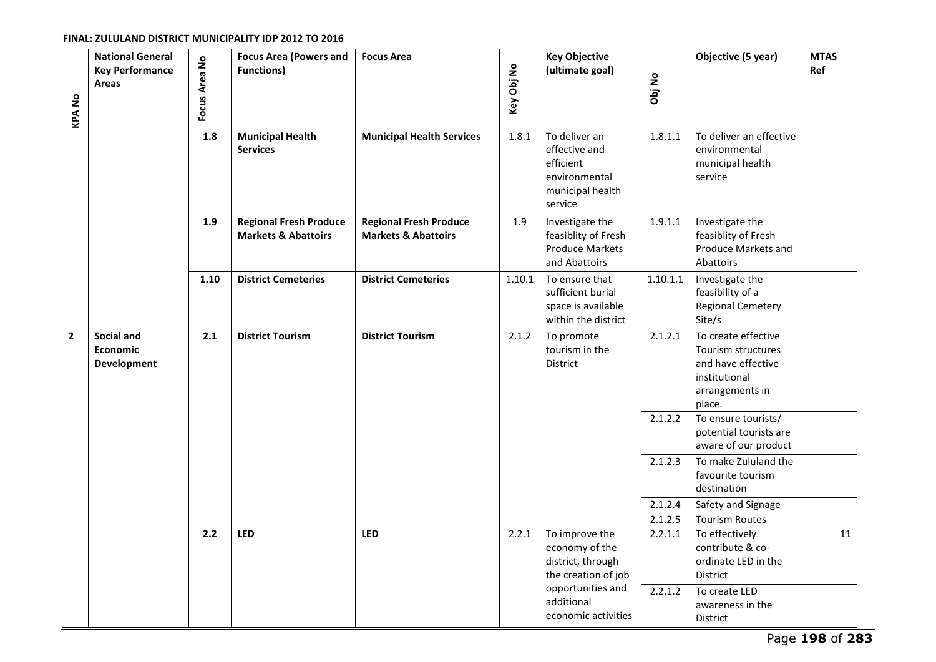| <b>KPA No</b>  | <b>National General</b><br><b>Key Performance</b><br><b>Areas</b> | Focus Area No | <b>Focus Area (Powers and</b><br><b>Functions)</b>              | <b>Focus Area</b>                                               | Key Obj No | <b>Key Objective</b><br>(ultimate goal)                                                     | Obj No             | Objective (5 year)                                                                                            | <b>MTAS</b><br>Ref |
|----------------|-------------------------------------------------------------------|---------------|-----------------------------------------------------------------|-----------------------------------------------------------------|------------|---------------------------------------------------------------------------------------------|--------------------|---------------------------------------------------------------------------------------------------------------|--------------------|
|                |                                                                   | 1.8           | <b>Municipal Health</b><br><b>Services</b>                      | <b>Municipal Health Services</b>                                | 1.8.1      | To deliver an<br>effective and<br>efficient<br>environmental<br>municipal health<br>service | 1.8.1.1            | To deliver an effective<br>environmental<br>municipal health<br>service                                       |                    |
|                |                                                                   | 1.9           | <b>Regional Fresh Produce</b><br><b>Markets &amp; Abattoirs</b> | <b>Regional Fresh Produce</b><br><b>Markets &amp; Abattoirs</b> | 1.9        | Investigate the<br>feasiblity of Fresh<br><b>Produce Markets</b><br>and Abattoirs           | 1.9.1.1            | Investigate the<br>feasiblity of Fresh<br>Produce Markets and<br>Abattoirs                                    |                    |
|                |                                                                   | 1.10          | <b>District Cemeteries</b>                                      | <b>District Cemeteries</b>                                      | 1.10.1     | To ensure that<br>sufficient burial<br>space is available<br>within the district            | 1.10.1.1           | Investigate the<br>feasibility of a<br><b>Regional Cemetery</b><br>Site/s                                     |                    |
| $\overline{2}$ | <b>Social and</b><br><b>Economic</b><br><b>Development</b>        | 2.1           | <b>District Tourism</b>                                         | <b>District Tourism</b>                                         | 2.1.2      | To promote<br>tourism in the<br>District                                                    | 2.1.2.1            | To create effective<br>Tourism structures<br>and have effective<br>institutional<br>arrangements in<br>place. |                    |
|                |                                                                   |               |                                                                 |                                                                 |            |                                                                                             | 2.1.2.2            | To ensure tourists/<br>potential tourists are<br>aware of our product                                         |                    |
|                |                                                                   |               |                                                                 |                                                                 |            |                                                                                             | 2.1.2.3            | To make Zululand the<br>favourite tourism<br>destination                                                      |                    |
|                |                                                                   |               |                                                                 |                                                                 |            |                                                                                             | 2.1.2.4            | Safety and Signage                                                                                            |                    |
|                |                                                                   | 2.2           | <b>LED</b>                                                      | <b>LED</b>                                                      | 2.2.1      | To improve the<br>economy of the<br>district, through<br>the creation of job                | 2.1.2.5<br>2.2.1.1 | <b>Tourism Routes</b><br>To effectively<br>contribute & co-<br>ordinate LED in the<br>District                | 11                 |
|                |                                                                   |               |                                                                 |                                                                 |            | opportunities and<br>additional<br>economic activities                                      | 2.2.1.2            | To create LED<br>awareness in the<br>District                                                                 |                    |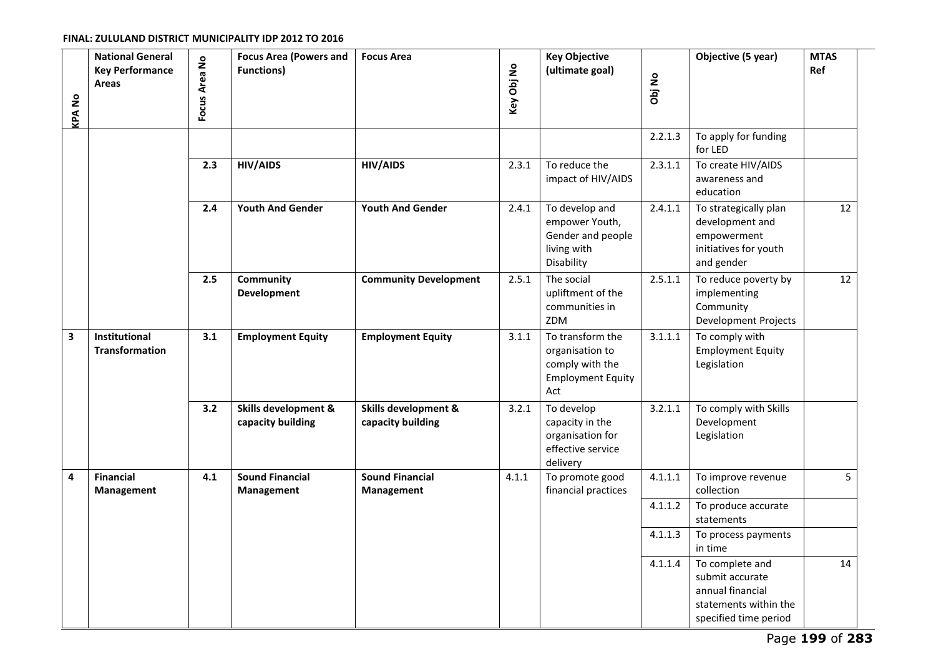| <b>KPA No</b>           | <b>National General</b><br><b>Key Performance</b><br><b>Areas</b> | Focus Area No | <b>Focus Area (Powers and</b><br><b>Functions)</b>   | <b>Focus Area</b>                         | Key Obj No | <b>Key Objective</b><br>(ultimate goal)                                                   | Obj No  | Objective (5 year)                                                                                       | <b>MTAS</b><br>Ref |
|-------------------------|-------------------------------------------------------------------|---------------|------------------------------------------------------|-------------------------------------------|------------|-------------------------------------------------------------------------------------------|---------|----------------------------------------------------------------------------------------------------------|--------------------|
|                         |                                                                   |               |                                                      |                                           |            |                                                                                           | 2.2.1.3 | To apply for funding<br>for LED                                                                          |                    |
|                         |                                                                   | 2.3           | <b>HIV/AIDS</b>                                      | <b>HIV/AIDS</b>                           | 2.3.1      | To reduce the<br>impact of HIV/AIDS                                                       | 2.3.1.1 | To create HIV/AIDS<br>awareness and<br>education                                                         |                    |
|                         |                                                                   | 2.4           | <b>Youth And Gender</b>                              | <b>Youth And Gender</b>                   | 2.4.1      | To develop and<br>empower Youth,<br>Gender and people<br>living with<br>Disability        | 2.4.1.1 | To strategically plan<br>development and<br>empowerment<br>initiatives for youth<br>and gender           | 12                 |
|                         |                                                                   | 2.5           | Community<br><b>Development</b>                      | <b>Community Development</b>              | 2.5.1      | The social<br>upliftment of the<br>communities in<br>ZDM                                  | 2.5.1.1 | To reduce poverty by<br>implementing<br>Community<br>Development Projects                                | 12                 |
| $\overline{\mathbf{3}}$ | Institutional<br><b>Transformation</b>                            | 3.1           | <b>Employment Equity</b>                             | <b>Employment Equity</b>                  | 3.1.1      | To transform the<br>organisation to<br>comply with the<br><b>Employment Equity</b><br>Act | 3.1.1.1 | To comply with<br><b>Employment Equity</b><br>Legislation                                                |                    |
|                         |                                                                   | 3.2           | <b>Skills development &amp;</b><br>capacity building | Skills development &<br>capacity building | 3.2.1      | To develop<br>capacity in the<br>organisation for<br>effective service<br>delivery        | 3.2.1.1 | To comply with Skills<br>Development<br>Legislation                                                      |                    |
| $\overline{\mathbf{4}}$ | <b>Financial</b><br>Management                                    | 4.1           | <b>Sound Financial</b><br>Management                 | <b>Sound Financial</b><br>Management      | 4.1.1      | To promote good<br>financial practices                                                    | 4.1.1.1 | To improve revenue<br>collection                                                                         | $5\phantom{.}$     |
|                         |                                                                   |               |                                                      |                                           |            |                                                                                           | 4.1.1.2 | To produce accurate<br>statements                                                                        |                    |
|                         |                                                                   |               |                                                      |                                           |            |                                                                                           | 4.1.1.3 | To process payments<br>in time                                                                           |                    |
|                         |                                                                   |               |                                                      |                                           |            |                                                                                           | 4.1.1.4 | To complete and<br>submit accurate<br>annual financial<br>statements within the<br>specified time period | 14                 |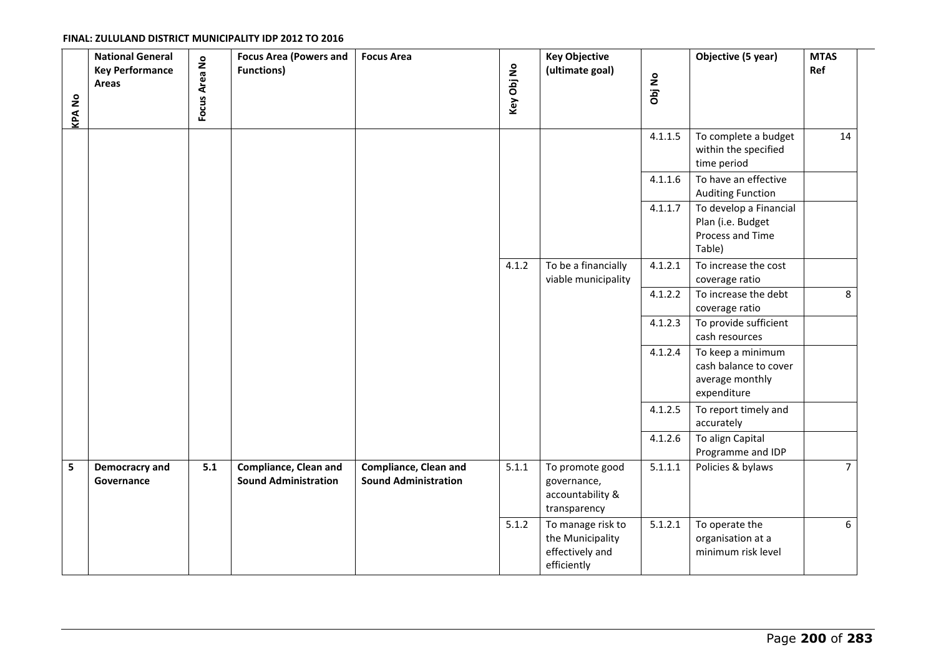#### **Key Objective Objective (5 year) MTAS National General Focus Area (Powers and Focus Area**  Focus Area No **Focus Area No**  Key Obj No **Key Obj No Key Performance Functions) (ultimate goal) Ref Obj No Areas KPA No**  4.1.1.5 To complete a budget 14 within the specified time period 4.1.1.6 To have an effective Auditing Function 4.1.1.7 To develop a Financial Plan (i.e. Budget Process and Time Table) 4.1.2 To be a financially 4.1.2.1 To increase the cost viable municipality coverage ratio 4.1.2.2 To increase the debt 8 coverage ratio 4.1.2.3 To provide sufficient cash resources 4.1.2.4 To keep a minimum cash balance to cover average monthly expenditure 4.1.2.5 To report timely and accurately 4.1.2.6 | To align Capital Programme and IDP **5 Democracry and 5.1 Compliance, Clean and Compliance, Clean and**  5.1.1 To promote good 5.1.1.1 Policies & bylaws 7 **Governance Sound Administration Sound Administration**  governance, accountability & transparency 5.1.2 To manage risk to 5.1.2.1 To operate the 6 the Municipality organisation at a effectively and minimum risk level efficiently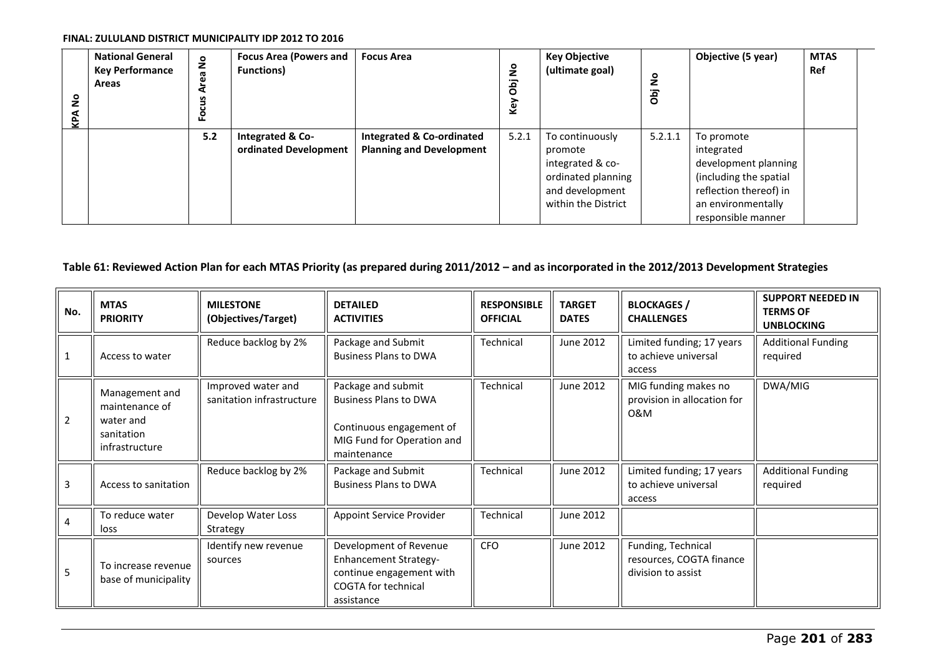| å<br>∢P | <b>National General</b><br><b>Key Performance</b><br>Areas | $\circ$ | <b>Focus Area (Powers and</b><br><b>Functions)</b> | <b>Focus Area</b>                    | ş<br>Öbj<br>Key    | <b>Key Objective</b><br>(ultimate goal) | å<br>Öbj               | Objective (5 year)     | <b>MTAS</b><br>Ref |
|---------|------------------------------------------------------------|---------|----------------------------------------------------|--------------------------------------|--------------------|-----------------------------------------|------------------------|------------------------|--------------------|
|         |                                                            | 5.2     | Integrated & Co-                                   | <b>Integrated &amp; Co-ordinated</b> | 5.2.1              | To continuously                         | 5.2.1.1                | To promote             |                    |
|         |                                                            |         | ordinated Development                              | <b>Planning and Development</b>      |                    | promote                                 |                        | integrated             |                    |
|         |                                                            |         |                                                    |                                      |                    | integrated & co-                        |                        | development planning   |                    |
|         |                                                            |         |                                                    |                                      | ordinated planning |                                         | (including the spatial |                        |                    |
|         |                                                            |         |                                                    |                                      |                    | and development                         |                        | reflection thereof) in |                    |
|         |                                                            |         |                                                    |                                      |                    | within the District                     |                        | an environmentally     |                    |
|         |                                                            |         |                                                    |                                      |                    |                                         |                        | responsible manner     |                    |

# Table 61: Reviewed Action Plan for each MTAS Priority (as prepared during 2011/2012 - and as incorporated in the 2012/2013 Development Strategies

| No.            | <b>MTAS</b><br><b>PRIORITY</b>                                                | <b>MILESTONE</b><br>(Objectives/Target)         | <b>DETAILED</b><br><b>ACTIVITIES</b>                                                                                        | <b>RESPONSIBLE</b><br><b>OFFICIAL</b> | <b>TARGET</b><br><b>DATES</b> | <b>BLOCKAGES</b> /<br><b>CHALLENGES</b>                              | <b>SUPPORT NEEDED IN</b><br><b>TERMS OF</b><br><b>UNBLOCKING</b> |
|----------------|-------------------------------------------------------------------------------|-------------------------------------------------|-----------------------------------------------------------------------------------------------------------------------------|---------------------------------------|-------------------------------|----------------------------------------------------------------------|------------------------------------------------------------------|
|                | Access to water                                                               | Reduce backlog by 2%                            | Package and Submit<br><b>Business Plans to DWA</b>                                                                          | Technical                             | June 2012                     | Limited funding; 17 years<br>to achieve universal<br>access          | <b>Additional Funding</b><br>required                            |
| $\overline{2}$ | Management and<br>maintenance of<br>water and<br>sanitation<br>infrastructure | Improved water and<br>sanitation infrastructure | Package and submit<br><b>Business Plans to DWA</b><br>Continuous engagement of<br>MIG Fund for Operation and<br>maintenance | Technical                             | June 2012                     | MIG funding makes no<br>provision in allocation for<br>0&M           | DWA/MIG                                                          |
| 3              | Access to sanitation                                                          | Reduce backlog by 2%                            | Package and Submit<br><b>Business Plans to DWA</b>                                                                          | Technical                             | June 2012                     | Limited funding; 17 years<br>to achieve universal<br>access          | <b>Additional Funding</b><br>required                            |
|                | To reduce water<br>loss                                                       | Develop Water Loss<br>Strategy                  | Appoint Service Provider                                                                                                    | Technical                             | June 2012                     |                                                                      |                                                                  |
| 5              | To increase revenue<br>base of municipality                                   | Identify new revenue<br>sources                 | Development of Revenue<br><b>Enhancement Strategy-</b><br>continue engagement with<br>COGTA for technical<br>assistance     | CFO                                   | June 2012                     | Funding, Technical<br>resources, COGTA finance<br>division to assist |                                                                  |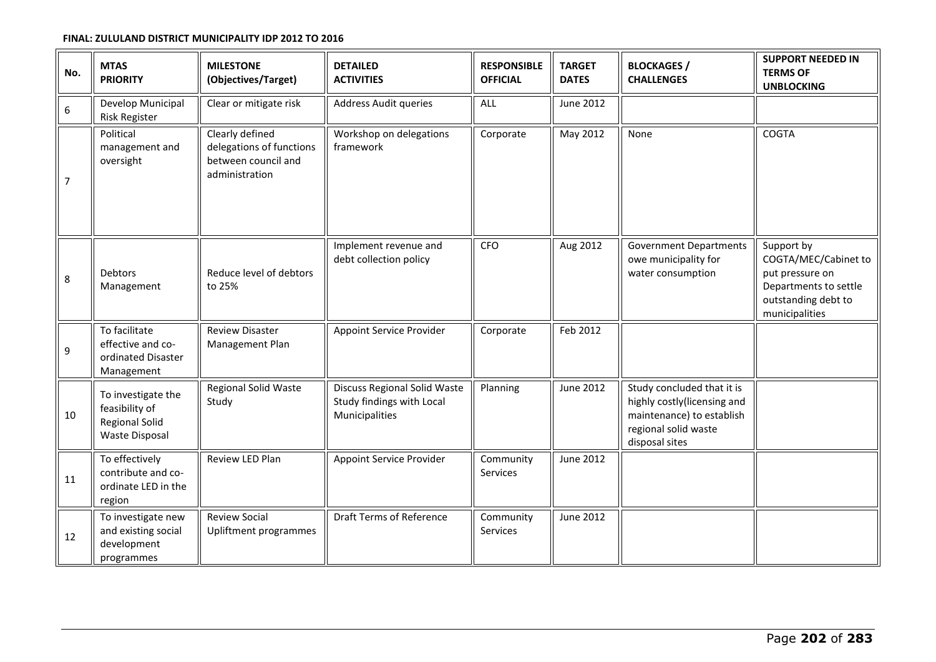| No.            | <b>MTAS</b><br><b>PRIORITY</b>                                                         | <b>MILESTONE</b><br>(Objectives/Target)                                              | <b>DETAILED</b><br><b>ACTIVITIES</b>                                               | <b>RESPONSIBLE</b><br><b>OFFICIAL</b> | <b>TARGET</b><br><b>DATES</b> | <b>BLOCKAGES /</b><br><b>CHALLENGES</b>                                                                                          | <b>SUPPORT NEEDED IN</b><br><b>TERMS OF</b><br><b>UNBLOCKING</b>                                                        |
|----------------|----------------------------------------------------------------------------------------|--------------------------------------------------------------------------------------|------------------------------------------------------------------------------------|---------------------------------------|-------------------------------|----------------------------------------------------------------------------------------------------------------------------------|-------------------------------------------------------------------------------------------------------------------------|
| 6              | Develop Municipal<br><b>Risk Register</b>                                              | Clear or mitigate risk                                                               | Address Audit queries                                                              | ALL                                   | <b>June 2012</b>              |                                                                                                                                  |                                                                                                                         |
| $\overline{7}$ | Political<br>management and<br>oversight                                               | Clearly defined<br>delegations of functions<br>between council and<br>administration | Workshop on delegations<br>framework                                               | Corporate                             | May 2012                      | None                                                                                                                             | <b>COGTA</b>                                                                                                            |
| 8              | Debtors<br>Management                                                                  | Reduce level of debtors<br>to 25%                                                    | Implement revenue and<br>debt collection policy                                    | CFO                                   | Aug 2012                      | <b>Government Departments</b><br>owe municipality for<br>water consumption                                                       | Support by<br>COGTA/MEC/Cabinet to<br>put pressure on<br>Departments to settle<br>outstanding debt to<br>municipalities |
| 9              | To facilitate<br>effective and co-<br>ordinated Disaster<br>Management                 | <b>Review Disaster</b><br>Management Plan                                            | Appoint Service Provider                                                           | Corporate                             | Feb 2012                      |                                                                                                                                  |                                                                                                                         |
| 10             | To investigate the<br>feasibility of<br><b>Regional Solid</b><br><b>Waste Disposal</b> | Regional Solid Waste<br>Study                                                        | <b>Discuss Regional Solid Waste</b><br>Study findings with Local<br>Municipalities | Planning                              | <b>June 2012</b>              | Study concluded that it is<br>highly costly(licensing and<br>maintenance) to establish<br>regional solid waste<br>disposal sites |                                                                                                                         |
| 11             | To effectively<br>contribute and co-<br>ordinate LED in the<br>region                  | Review LED Plan                                                                      | Appoint Service Provider                                                           | Community<br>Services                 | June 2012                     |                                                                                                                                  |                                                                                                                         |
| 12             | To investigate new<br>and existing social<br>development<br>programmes                 | <b>Review Social</b><br>Upliftment programmes                                        | <b>Draft Terms of Reference</b>                                                    | Community<br>Services                 | June 2012                     |                                                                                                                                  |                                                                                                                         |